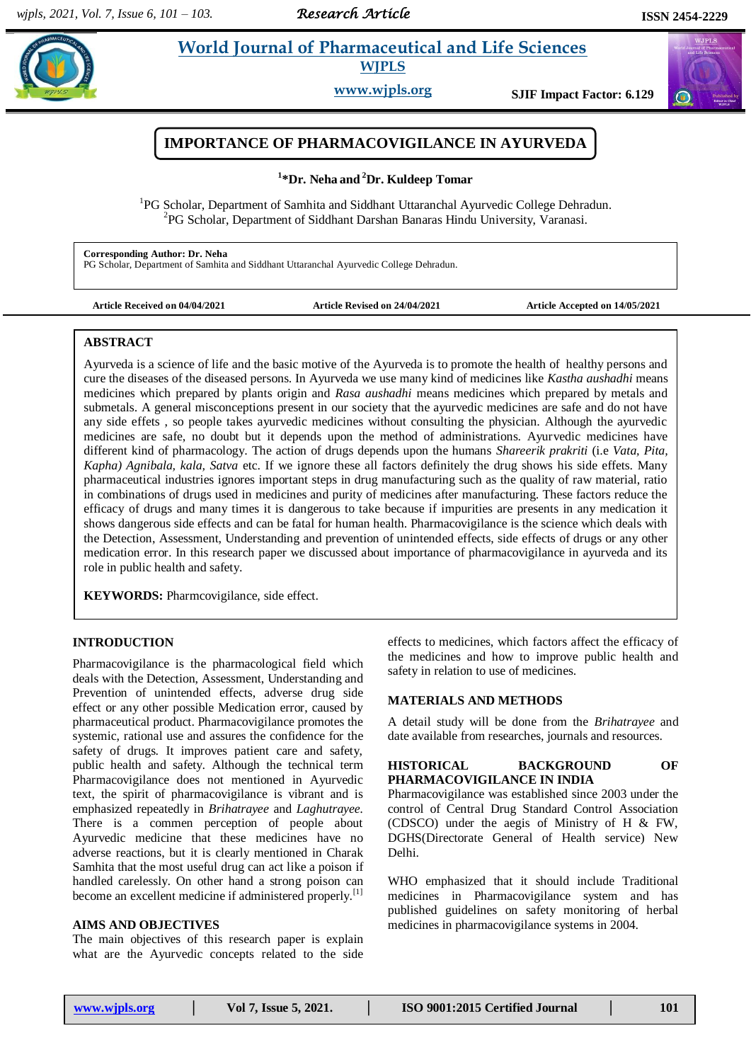*Research Article* 

 $\omega$ 

# **Paramaceutical and Life Sciences WJPLS**

**www.wjpls.org SJIF Impact Factor: 6.129**



**1 \*Dr. Neha and <sup>2</sup>Dr. Kuldeep Tomar**

<sup>1</sup>PG Scholar, Department of Samhita and Siddhant Uttaranchal Ayurvedic College Dehradun. <sup>2</sup>PG Scholar, Department of Siddhant Darshan Banaras Hindu University, Varanasi.

**Corresponding Author: Dr. Neha** PG Scholar, Department of Samhita and Siddhant Uttaranchal Ayurvedic College Dehradun.

**Article Received on 04/04/2021 Article Revised on 24/04/2021 Article Accepted on 14/05/2021**

### **ABSTRACT**

Ayurveda is a science of life and the basic motive of the Ayurveda is to promote the health of healthy persons and cure the diseases of the diseased persons. In Ayurveda we use many kind of medicines like *Kastha aushadhi* means medicines which prepared by plants origin and *Rasa aushadhi* means medicines which prepared by metals and submetals. A general misconceptions present in our society that the ayurvedic medicines are safe and do not have any side effets , so people takes ayurvedic medicines without consulting the physician. Although the ayurvedic medicines are safe, no doubt but it depends upon the method of administrations. Ayurvedic medicines have different kind of pharmacology. The action of drugs depends upon the humans *Shareerik prakriti* (i.e *Vata, Pita, Kapha) Agnibala, kala, Satva* etc. If we ignore these all factors definitely the drug shows his side effets. Many pharmaceutical industries ignores important steps in drug manufacturing such as the quality of raw material, ratio in combinations of drugs used in medicines and purity of medicines after manufacturing. These factors reduce the efficacy of drugs and many times it is dangerous to take because if impurities are presents in any medication it shows dangerous side effects and can be fatal for human health. Pharmacovigilance is the science which deals with the Detection, Assessment, Understanding and prevention of unintended effects, side effects of drugs or any other medication error. In this research paper we discussed about importance of pharmacovigilance in ayurveda and its role in public health and safety.

**KEYWORDS:** Pharmcovigilance, side effect.

# **INTRODUCTION**

Pharmacovigilance is the pharmacological field which deals with the Detection, Assessment, Understanding and Prevention of unintended effects, adverse drug side effect or any other possible Medication error, caused by pharmaceutical product. Pharmacovigilance promotes the systemic, rational use and assures the confidence for the safety of drugs. It improves patient care and safety, public health and safety. Although the technical term Pharmacovigilance does not mentioned in Ayurvedic text, the spirit of pharmacovigilance is vibrant and is emphasized repeatedly in *Brihatrayee* and *Laghutrayee.* There is a commen perception of people about Ayurvedic medicine that these medicines have no adverse reactions, but it is clearly mentioned in Charak Samhita that the most useful drug can act like a poison if handled carelessly. On other hand a strong poison can become an excellent medicine if administered properly.<sup>[1]</sup>

# **AIMS AND OBJECTIVES**

The main objectives of this research paper is explain what are the Ayurvedic concepts related to the side

effects to medicines, which factors affect the efficacy of the medicines and how to improve public health and safety in relation to use of medicines.

#### **MATERIALS AND METHODS**

A detail study will be done from the *Brihatrayee* and date available from researches, journals and resources.

#### **HISTORICAL BACKGROUND OF PHARMACOVIGILANCE IN INDIA**

Pharmacovigilance was established since 2003 under the control of Central Drug Standard Control Association (CDSCO) under the aegis of Ministry of H & FW, DGHS(Directorate General of Health service) New Delhi.

WHO emphasized that it should include Traditional medicines in Pharmacovigilance system and has published guidelines on safety monitoring of herbal medicines in pharmacovigilance systems in 2004.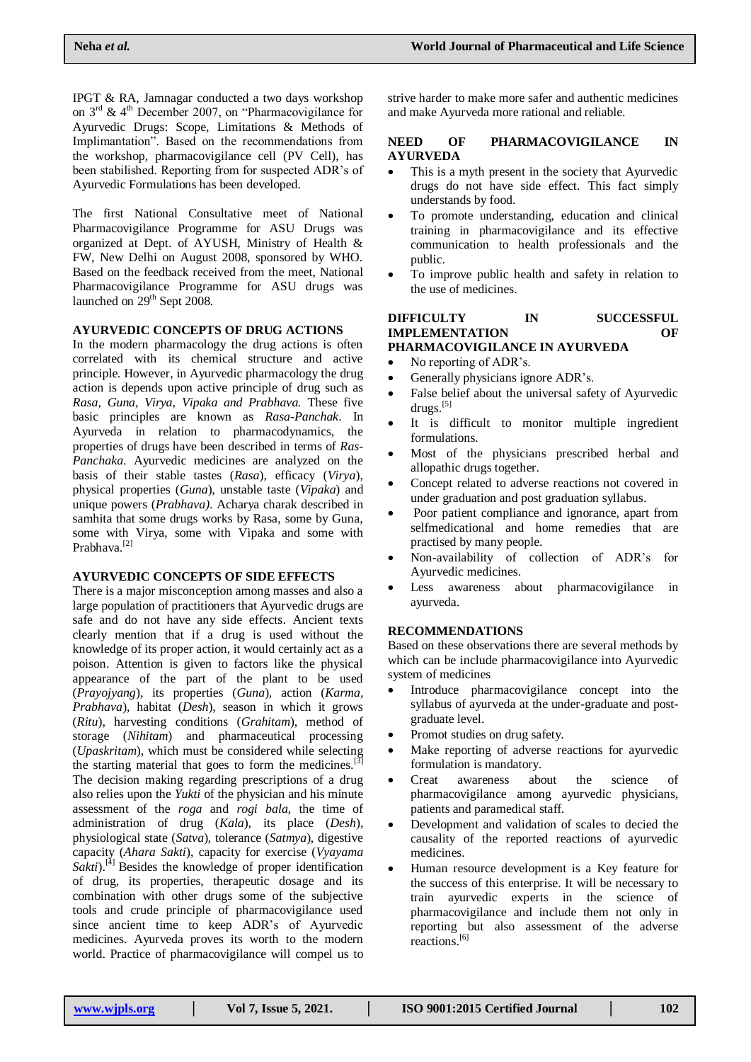IPGT & RA, Jamnagar conducted a two days workshop on  $3<sup>rd</sup>$  &  $4<sup>th</sup>$  December 2007, on "Pharmacovigilance for Ayurvedic Drugs: Scope, Limitations & Methods of Implimantation". Based on the recommendations from the workshop, pharmacovigilance cell (PV Cell), has been stabilished. Reporting from for suspected ADR's of Ayurvedic Formulations has been developed.

The first National Consultative meet of National Pharmacovigilance Programme for ASU Drugs was organized at Dept. of AYUSH, Ministry of Health & FW, New Delhi on August 2008, sponsored by WHO. Based on the feedback received from the meet, National Pharmacovigilance Programme for ASU drugs was launched on  $29<sup>th</sup>$  Sept 2008.

# **AYURVEDIC CONCEPTS OF DRUG ACTIONS**

In the modern pharmacology the drug actions is often correlated with its chemical structure and active principle. However, in Ayurvedic pharmacology the drug action is depends upon active principle of drug such as *Rasa, Guna, Virya, Vipaka and Prabhava.* These five basic principles are known as *Rasa-Panchak*. In Ayurveda in relation to pharmacodynamics, the properties of drugs have been described in terms of *Ras-Panchaka*. Ayurvedic medicines are analyzed on the basis of their stable tastes (*Rasa*), efficacy (*Virya*), physical properties (*Guna*), unstable taste (*Vipaka*) and unique powers (*Prabhava)*. Acharya charak described in samhita that some drugs works by Rasa, some by Guna, some with Virya, some with Vipaka and some with Prabhava.[2]

# **AYURVEDIC CONCEPTS OF SIDE EFFECTS**

There is a major misconception among masses and also a large population of practitioners that Ayurvedic drugs are safe and do not have any side effects. Ancient texts clearly mention that if a drug is used without the knowledge of its proper action, it would certainly act as a poison. Attention is given to factors like the physical appearance of the part of the plant to be used (*Prayojyang*), its properties (*Guna*), action (*Karma, Prabhava*), habitat (*Desh*), season in which it grows (*Ritu*), harvesting conditions (*Grahitam*), method of storage (*Nihitam*) and pharmaceutical processing (*Upaskritam*), which must be considered while selecting the starting material that goes to form the medicines.<sup>[3]</sup> The decision making regarding prescriptions of a drug also relies upon the *Yukti* of the physician and his minute assessment of the *roga* and *rogi bala*, the time of administration of drug (*Kala*), its place (*Desh*), physiological state (*Satva*), tolerance (*Satmya*), digestive capacity (*Ahara Sakti*), capacity for exercise (*Vyayama Sakti*).<sup>[4]</sup> Besides the knowledge of proper identification of drug, its properties, therapeutic dosage and its combination with other drugs some of the subjective tools and crude principle of pharmacovigilance used since ancient time to keep ADR's of Ayurvedic medicines. Ayurveda proves its worth to the modern world. Practice of pharmacovigilance will compel us to strive harder to make more safer and authentic medicines and make Ayurveda more rational and reliable.

## **NEED OF PHARMACOVIGILANCE IN AYURVEDA**

- This is a myth present in the society that Ayurvedic drugs do not have side effect. This fact simply understands by food.
- To promote understanding, education and clinical training in pharmacovigilance and its effective communication to health professionals and the public.
- To improve public health and safety in relation to the use of medicines.

#### **DIFFICULTY IN SUCCESSFUL IMPLEMENTATION OF PHARMACOVIGILANCE IN AYURVEDA**

- No reporting of ADR's.
- Generally physicians ignore ADR's.
- False belief about the universal safety of Ayurvedic drugs.<sup>[5]</sup>
- It is difficult to monitor multiple ingredient formulations.
- Most of the physicians prescribed herbal and allopathic drugs together.
- Concept related to adverse reactions not covered in under graduation and post graduation syllabus.
- Poor patient compliance and ignorance, apart from selfmedicational and home remedies that are practised by many people.
- Non-availability of collection of ADR's for Ayurvedic medicines.
- Less awareness about pharmacovigilance in ayurveda.

# **RECOMMENDATIONS**

Based on these observations there are several methods by which can be include pharmacovigilance into Ayurvedic system of medicines

- Introduce pharmacovigilance concept into the syllabus of ayurveda at the under-graduate and postgraduate level.
- Promot studies on drug safety.
- Make reporting of adverse reactions for ayurvedic formulation is mandatory.
- Creat awareness about the science of pharmacovigilance among ayurvedic physicians, patients and paramedical staff.
- Development and validation of scales to decied the causality of the reported reactions of ayurvedic medicines.
- Human resource development is a Key feature for the success of this enterprise. It will be necessary to train ayurvedic experts in the science of pharmacovigilance and include them not only in reporting but also assessment of the adverse reactions. [6]